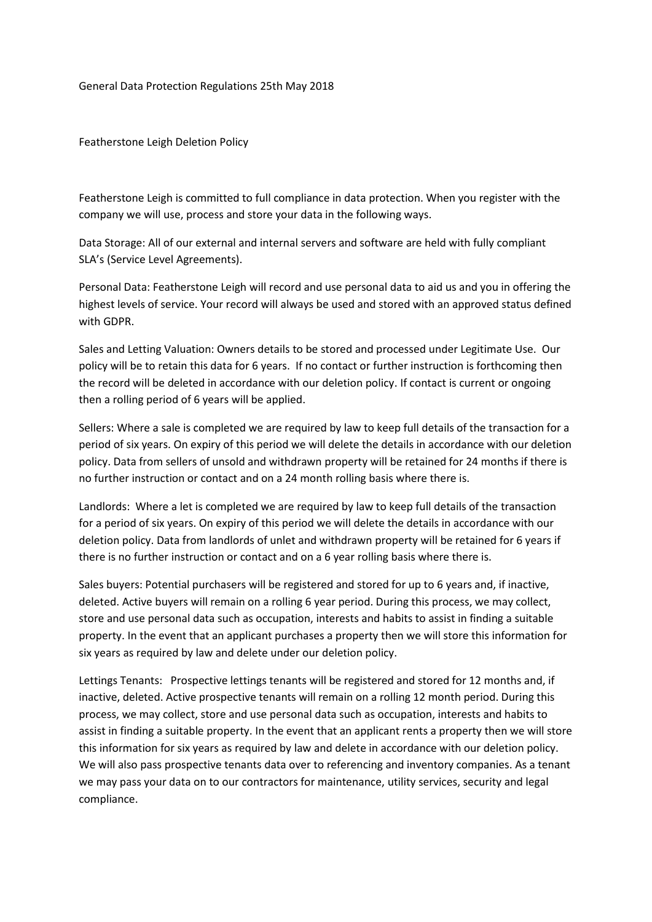General Data Protection Regulations 25th May 2018

Featherstone Leigh Deletion Policy

Featherstone Leigh is committed to full compliance in data protection. When you register with the company we will use, process and store your data in the following ways.

Data Storage: All of our external and internal servers and software are held with fully compliant SLA's (Service Level Agreements).

Personal Data: Featherstone Leigh will record and use personal data to aid us and you in offering the highest levels of service. Your record will always be used and stored with an approved status defined with GDPR.

Sales and Letting Valuation: Owners details to be stored and processed under Legitimate Use. Our policy will be to retain this data for 6 years. If no contact or further instruction is forthcoming then the record will be deleted in accordance with our deletion policy. If contact is current or ongoing then a rolling period of 6 years will be applied.

Sellers: Where a sale is completed we are required by law to keep full details of the transaction for a period of six years. On expiry of this period we will delete the details in accordance with our deletion policy. Data from sellers of unsold and withdrawn property will be retained for 24 months if there is no further instruction or contact and on a 24 month rolling basis where there is.

Landlords: Where a let is completed we are required by law to keep full details of the transaction for a period of six years. On expiry of this period we will delete the details in accordance with our deletion policy. Data from landlords of unlet and withdrawn property will be retained for 6 years if there is no further instruction or contact and on a 6 year rolling basis where there is.

Sales buyers: Potential purchasers will be registered and stored for up to 6 years and, if inactive, deleted. Active buyers will remain on a rolling 6 year period. During this process, we may collect, store and use personal data such as occupation, interests and habits to assist in finding a suitable property. In the event that an applicant purchases a property then we will store this information for six years as required by law and delete under our deletion policy.

Lettings Tenants: Prospective lettings tenants will be registered and stored for 12 months and, if inactive, deleted. Active prospective tenants will remain on a rolling 12 month period. During this process, we may collect, store and use personal data such as occupation, interests and habits to assist in finding a suitable property. In the event that an applicant rents a property then we will store this information for six years as required by law and delete in accordance with our deletion policy. We will also pass prospective tenants data over to referencing and inventory companies. As a tenant we may pass your data on to our contractors for maintenance, utility services, security and legal compliance.